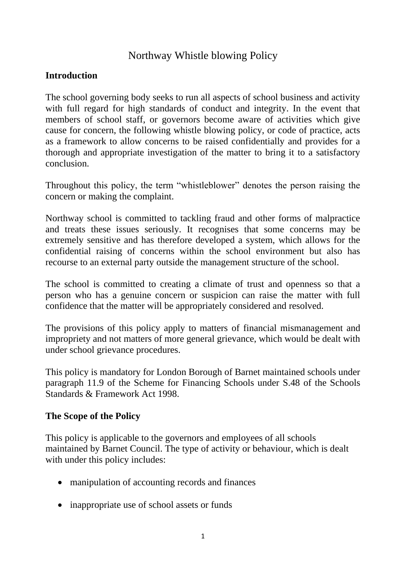# Northway Whistle blowing Policy

#### **Introduction**

The school governing body seeks to run all aspects of school business and activity with full regard for high standards of conduct and integrity. In the event that members of school staff, or governors become aware of activities which give cause for concern, the following whistle blowing policy, or code of practice, acts as a framework to allow concerns to be raised confidentially and provides for a thorough and appropriate investigation of the matter to bring it to a satisfactory conclusion.

Throughout this policy, the term "whistleblower" denotes the person raising the concern or making the complaint.

Northway school is committed to tackling fraud and other forms of malpractice and treats these issues seriously. It recognises that some concerns may be extremely sensitive and has therefore developed a system, which allows for the confidential raising of concerns within the school environment but also has recourse to an external party outside the management structure of the school.

The school is committed to creating a climate of trust and openness so that a person who has a genuine concern or suspicion can raise the matter with full confidence that the matter will be appropriately considered and resolved.

The provisions of this policy apply to matters of financial mismanagement and impropriety and not matters of more general grievance, which would be dealt with under school grievance procedures.

This policy is mandatory for London Borough of Barnet maintained schools under paragraph 11.9 of the Scheme for Financing Schools under S.48 of the Schools Standards & Framework Act 1998.

#### **The Scope of the Policy**

This policy is applicable to the governors and employees of all schools maintained by Barnet Council. The type of activity or behaviour, which is dealt with under this policy includes:

- manipulation of accounting records and finances
- inappropriate use of school assets or funds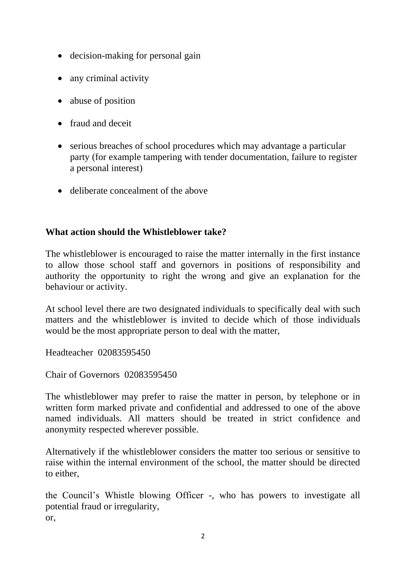- decision-making for personal gain
- any criminal activity
- abuse of position
- fraud and deceit
- serious breaches of school procedures which may advantage a particular party (for example tampering with tender documentation, failure to register a personal interest)
- deliberate concealment of the above

#### **What action should the Whistleblower take?**

The whistleblower is encouraged to raise the matter internally in the first instance to allow those school staff and governors in positions of responsibility and authority the opportunity to right the wrong and give an explanation for the behaviour or activity.

At school level there are two designated individuals to specifically deal with such matters and the whistleblower is invited to decide which of those individuals would be the most appropriate person to deal with the matter,

Headteacher 02083595450

Chair of Governors 02083595450

The whistleblower may prefer to raise the matter in person, by telephone or in written form marked private and confidential and addressed to one of the above named individuals. All matters should be treated in strict confidence and anonymity respected wherever possible.

Alternatively if the whistleblower considers the matter too serious or sensitive to raise within the internal environment of the school, the matter should be directed to either,

the Council's Whistle blowing Officer -, who has powers to investigate all potential fraud or irregularity, or,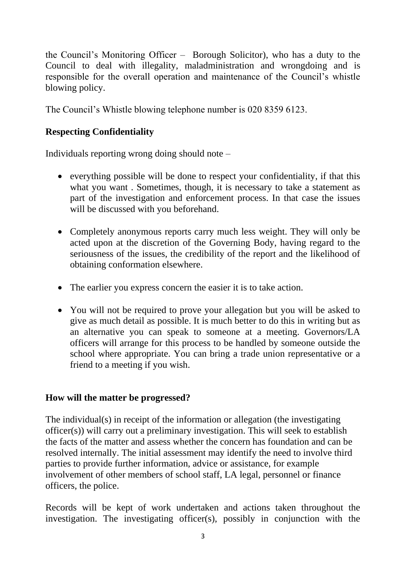the Council's Monitoring Officer – Borough Solicitor), who has a duty to the Council to deal with illegality, maladministration and wrongdoing and is responsible for the overall operation and maintenance of the Council's whistle blowing policy.

The Council's Whistle blowing telephone number is 020 8359 6123.

## **Respecting Confidentiality**

Individuals reporting wrong doing should note –

- everything possible will be done to respect your confidentiality, if that this what you want . Sometimes, though, it is necessary to take a statement as part of the investigation and enforcement process. In that case the issues will be discussed with you beforehand.
- Completely anonymous reports carry much less weight. They will only be acted upon at the discretion of the Governing Body, having regard to the seriousness of the issues, the credibility of the report and the likelihood of obtaining conformation elsewhere.
- The earlier you express concern the easier it is to take action.
- You will not be required to prove your allegation but you will be asked to give as much detail as possible. It is much better to do this in writing but as an alternative you can speak to someone at a meeting. Governors/LA officers will arrange for this process to be handled by someone outside the school where appropriate. You can bring a trade union representative or a friend to a meeting if you wish.

### **How will the matter be progressed?**

The individual(s) in receipt of the information or allegation (the investigating officer(s)) will carry out a preliminary investigation. This will seek to establish the facts of the matter and assess whether the concern has foundation and can be resolved internally. The initial assessment may identify the need to involve third parties to provide further information, advice or assistance, for example involvement of other members of school staff, LA legal, personnel or finance officers, the police.

Records will be kept of work undertaken and actions taken throughout the investigation. The investigating officer(s), possibly in conjunction with the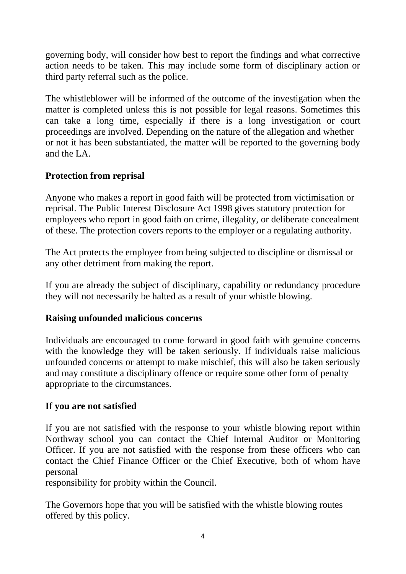governing body, will consider how best to report the findings and what corrective action needs to be taken. This may include some form of disciplinary action or third party referral such as the police.

The whistleblower will be informed of the outcome of the investigation when the matter is completed unless this is not possible for legal reasons. Sometimes this can take a long time, especially if there is a long investigation or court proceedings are involved. Depending on the nature of the allegation and whether or not it has been substantiated, the matter will be reported to the governing body and the LA.

### **Protection from reprisal**

Anyone who makes a report in good faith will be protected from victimisation or reprisal. The Public Interest Disclosure Act 1998 gives statutory protection for employees who report in good faith on crime, illegality, or deliberate concealment of these. The protection covers reports to the employer or a regulating authority.

The Act protects the employee from being subjected to discipline or dismissal or any other detriment from making the report.

If you are already the subject of disciplinary, capability or redundancy procedure they will not necessarily be halted as a result of your whistle blowing.

### **Raising unfounded malicious concerns**

Individuals are encouraged to come forward in good faith with genuine concerns with the knowledge they will be taken seriously. If individuals raise malicious unfounded concerns or attempt to make mischief, this will also be taken seriously and may constitute a disciplinary offence or require some other form of penalty appropriate to the circumstances.

### **If you are not satisfied**

If you are not satisfied with the response to your whistle blowing report within Northway school you can contact the Chief Internal Auditor or Monitoring Officer. If you are not satisfied with the response from these officers who can contact the Chief Finance Officer or the Chief Executive, both of whom have personal

responsibility for probity within the Council.

The Governors hope that you will be satisfied with the whistle blowing routes offered by this policy.